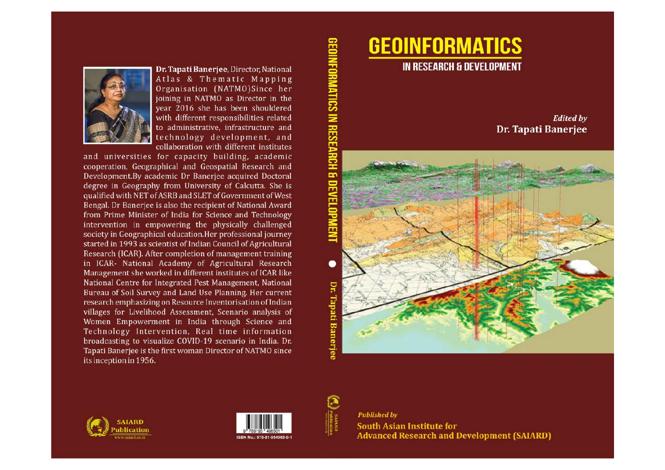

Dr. Tapati Banerjee, Director, National Atlas & Thematic Mapping Organisation (NATMO)Since her joining in NATMO as Director in the year 2016 she has been shouldered with different responsibilities related to administrative, infrastructure and technology development, and collaboration with different institutes

and universities for capacity building, academic cooperation, Geographical and Geospatial Research and Development.By academic Dr Banerjee acquired Doctoral degree in Geography from University of Calcutta. She is qualified with NET of ASRB and SLET of Government of West Bengal. Dr Banerjee is also the recipient of National Award from Prime Minister of India for Science and Technology intervention in empowering the physically challenged society in Geographical education. Her professional journey started in 1993 as scientist of Indian Council of Agricultural Research (ICAR). After completion of management training in ICAR- National Academy of Agricultural Research Management she worked in different institutes of ICAR like National Centre for Integrated Pest Management, National Bureau of Soil Survey and Land Use Planning. Her current research emphasizing on Resource Inventorisation of Indian villages for Livelihood Assessment, Scenario analysis of Women Empowerment in India through Science and Technology Intervention, Real time information broadcasting to visualize COVID-19 scenario in India. Dr. Tapati Banerjee is the first woman Director of NATMO since its inception in 1956.

#### **Edited by Dr. Tapati Banerjee**









**South Asian Institute for Advanced Research and Development (SAIARD)**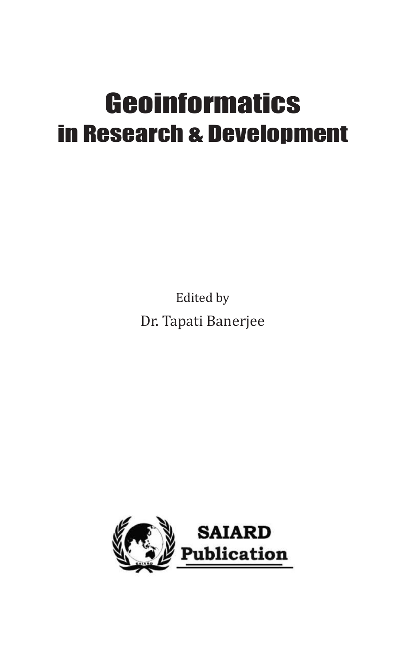# **Geoinformatics** in Research & Development

Edited by Dr. Tapati Banerjee

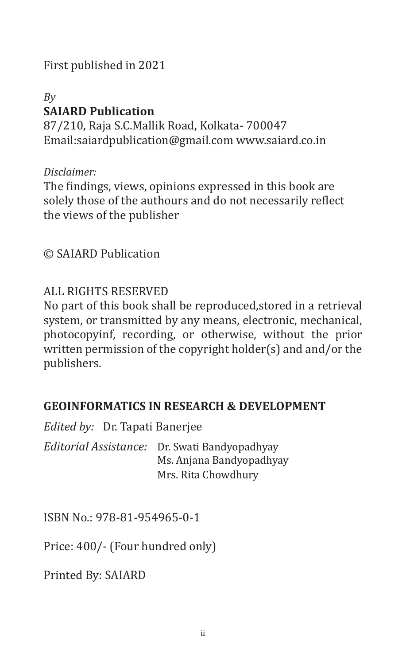First published in 2021

## *By* **SAIARD Publication**

87/210, Raja S.C.Mallik Road, Kolkata- 700047 Email:saiardpublication@gmail.com www.saiard.co.in

#### *Disclaimer:*

The findings, views, opinions expressed in this book are solely those of the authours and do not necessarily reflect the views of the publisher

#### © SAIARD Publication

#### ALL RIGHTS RESERVED

No part of this book shall be reproduced,stored in a retrieval system, or transmitted by any means, electronic, mechanical, photocopyinf, recording, or otherwise, without the prior written permission of the copyright holder(s) and and/or the publishers.

#### **GEOINFORMATICS IN RESEARCH & DEVELOPMENT**

|                                                                                                  | <i>Edited by:</i> Dr. Tapati Banerjee |  |
|--------------------------------------------------------------------------------------------------|---------------------------------------|--|
| Editorial Assistance: Dr. Swati Bandyopadhyay<br>Ms. Anjana Bandyopadhyay<br>Mrs. Rita Chowdhury |                                       |  |

ISBN No.: 978-81-954965-0-1

Price: 400/- (Four hundred only)

Printed By: SAIARD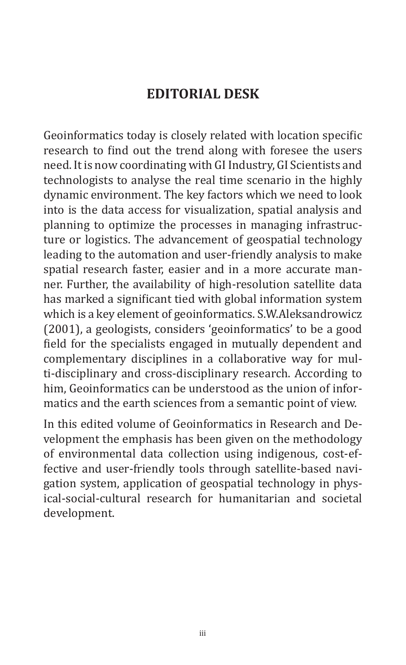## **EDITORIAL DESK**

Geoinformatics today is closely related with location specific research to find out the trend along with foresee the users need. It is now coordinating with GI Industry, GI Scientists and technologists to analyse the real time scenario in the highly dynamic environment. The key factors which we need to look into is the data access for visualization, spatial analysis and planning to optimize the processes in managing infrastructure or logistics. The advancement of geospatial technology leading to the automation and user-friendly analysis to make spatial research faster, easier and in a more accurate manner. Further, the availability of high-resolution satellite data has marked a significant tied with global information system which is a key element of geoinformatics. S.W.Aleksandrowicz (2001), a geologists, considers 'geoinformatics' to be a good field for the specialists engaged in mutually dependent and complementary disciplines in a collaborative way for multi-disciplinary and cross-disciplinary research. According to him, Geoinformatics can be understood as the union of informatics and the earth sciences from a semantic point of view.

In this edited volume of Geoinformatics in Research and Development the emphasis has been given on the methodology of environmental data collection using indigenous, cost-effective and user-friendly tools through satellite-based navigation system, application of geospatial technology in physical-social-cultural research for humanitarian and societal development.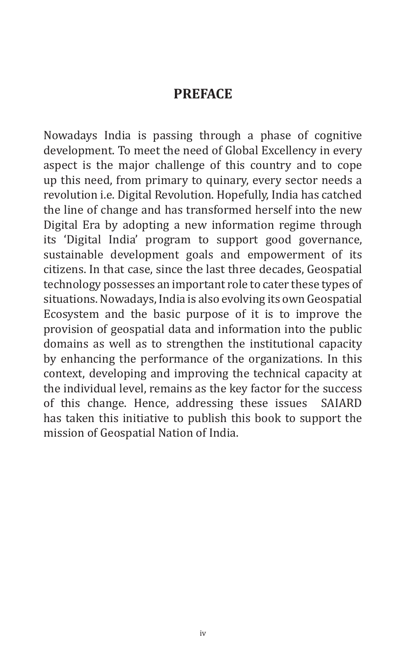## **PREFACE**

Nowadays India is passing through a phase of cognitive development. To meet the need of Global Excellency in every aspect is the major challenge of this country and to cope up this need, from primary to quinary, every sector needs a revolution i.e. Digital Revolution. Hopefully, India has catched the line of change and has transformed herself into the new Digital Era by adopting a new information regime through its 'Digital India' program to support good governance, sustainable development goals and empowerment of its citizens. In that case, since the last three decades, Geospatial technology possesses an important role to cater these types of situations. Nowadays, India is also evolving its own Geospatial Ecosystem and the basic purpose of it is to improve the provision of geospatial data and information into the public domains as well as to strengthen the institutional capacity by enhancing the performance of the organizations. In this context, developing and improving the technical capacity at the individual level, remains as the key factor for the success<br>of this change. Hence, addressing these issues SAIARD of this change. Hence, addressing these issues has taken this initiative to publish this book to support the mission of Geospatial Nation of India.